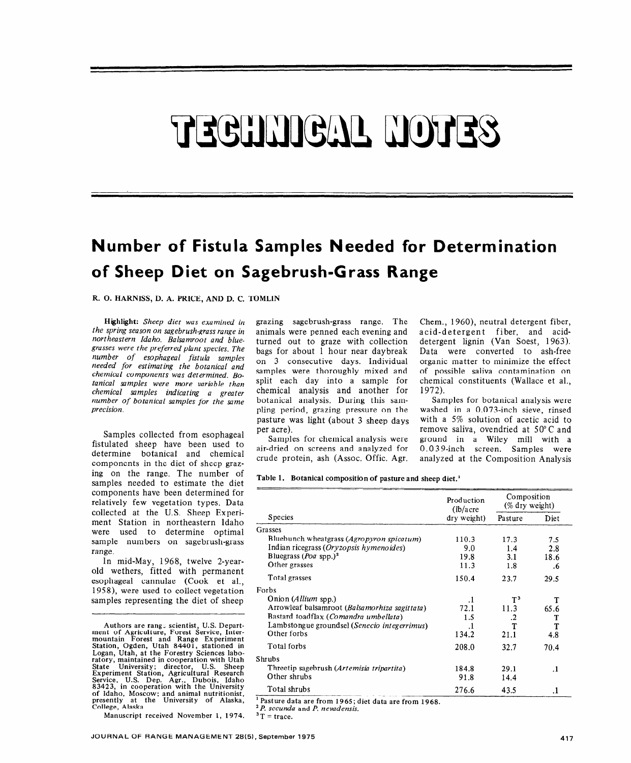# TEGHNIGAL HOTES

## **Number of Fistula Samples Needed for Determination of Sheep Diet on Sagebrush-Grass Range**

R. 0. HARNISS, D. A. PRICE, AND D. C. TOMLIN

Highlight: *Sheep diet was examined in the spring season on sagebrush-grass range in northeastern Idaho. Balsamroot and bluegrasses were the preferred plant species. The number of esophageal fistula samples needed for estimating the botanical and chemical components was determined. Botanical samples were more variable than chemical samples indicating a greater number of botanical samples for the same precision.* 

Samples collected from esophageal fistulated sheep have been used to determine botanical and chemical components in the diet of sheep grazing on the range. The number of samples needed to estimate the diet components have been determined for relatively few vegetation types. Data collected at the U.S. Sheep Experiment Station in northeastern Idaho were used to determine optimal sample numbers on sagebrush-grass range.

In mid-May, 1968, twelve 2-yearold wethers, fitted with permanent esophageal cannulae (Cook et al., 1958), were used to collect vegetation samples representing the diet of sheep

Authors are rang, scientist, U.S. Depart-ment of Agriculture, Forest Service, Inter-mountain Forest and Range Experiment Station, Ogden, Utah 84401, stationed in Logan, Utah, at the Forestry Sciences labo-ratory, maintained in cooperation with Utah State University; director, U.S. Sheep Experiment Station, Agricultural Research<br>Service, U.S. Dep. Agr., Dubois, Idaho<br>83423, in cooperation with the University of Idaho, Moscow; and animal nutritionist<br>presently at the University of Alaska<br>College Alaska

Manuscript received November 1, 1974.

grazing sagebrush-grass range. The animals were penned each evening and turned out to graze with collection bags for about 1 hour near daybreak on 3 consecutive days. Individual samples were thoroughly mixed and split each day into a sample for chemical analysis and another for botanical analysis. During this sampling period, grazing pressure on the pasture was light (about 3 sheep days per acre).

Samples for chemical analysis were air-dried on screens and analyzed for crude protein, ash (Assoc. Offic. Agr. Chem., 1960), neutral detergent fiber, acid-detergent fiber, and aciddetergent lignin (Van Soest, 1963). Data were converted to ash-free organic matter to minimize the effect of possible saliva contamination on chemical constituents (Wallace et al., 1972).

Samples for botanical analysis were washed in a 0.073-inch sieve, rinsed with a 5% solution of acetic acid to remove saliva, ovendried at 50" C and ground in a Wiley mill with a 0.0 3 9-inch screen. Samples were analyzed at the Composition Analysis

|  | Table 1. Botanical composition of pasture and sheep diet. <sup>1</sup> |  |  |  |
|--|------------------------------------------------------------------------|--|--|--|
|--|------------------------------------------------------------------------|--|--|--|

|                                               | Production<br>$(lb/a$ cre | Composition<br>$(\%$ dry weight) |         |
|-----------------------------------------------|---------------------------|----------------------------------|---------|
| <b>Species</b>                                | dry weight)               | Pasture                          | Diet    |
| Grasses                                       |                           |                                  |         |
| Bluebunch wheatgrass (Agropyron spicatum)     | 110.3                     | 17.3                             | 7.5     |
| Indian ricegrass (Oryzopsis hymenoides)       | 9.0                       | 1.4                              | 2.8     |
| Bluegrass ( <i>Poa</i> spp.) <sup>2</sup>     | 19.8                      | 3.1                              | 18.6    |
| Other grasses                                 | 11.3                      | 1.8                              | .6      |
| Total grasses                                 | 150.4                     | 23.7                             | 29.5    |
| Forbs                                         |                           |                                  |         |
| Onion (Allium spp.)                           | $\cdot$ 1                 | $T^3$                            | т       |
| Arrowleaf balsamroot (Balsamorhiza sagittata) | 72.1                      | 11.3                             | 65.6    |
| Bastard toadflax (Comandra umbellata)         | 1.5                       | .2                               | т       |
| Lambstongue groundsel (Senecio integerrimus)  | .1                        | т                                | T       |
| Other forbs                                   | 134.2                     | 21.1                             | 4.8     |
| Total forbs                                   | 208.0                     | 32.7                             | 70.4    |
| Shrubs                                        |                           |                                  |         |
| Threetip sagebrush (Artemisia tripartita)     | 184.8                     | 29.1                             | $\cdot$ |
| Other shrubs                                  | 91.8                      | 14.4                             |         |
| Total shrubs                                  | 276.6                     | 43.5                             | .1      |

'P. *secunda* and *P. nevadensis.* 

 $3T = \text{trace}.$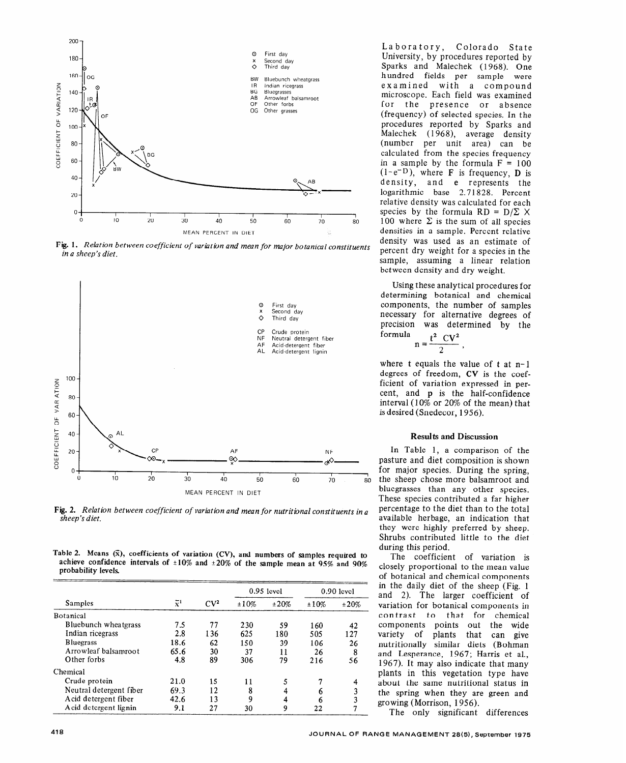

Fig. 1. Relation between coefficient of variation and mean for major botanical constituents in a sheep's diet.



**Fig. 2.** *Relation between coefficient of variation and mean for nutritional constituents in a sheep's diet.* 

Table 2. Means  $(\bar{x})$ , coefficients of variation (CV), and numbers of samples required to **achieve confidence intervals of \*lo% and +20% of the sample mean at 95% and 90% probability levels.** 

|                         | $\bar{x}^1$ | CV <sup>2</sup> | $0.95$ level |      | $0.90$ level |      |
|-------------------------|-------------|-----------------|--------------|------|--------------|------|
| Samples                 |             |                 | ±10%         | ±20% | ±10%         | ±20% |
| <b>Botanical</b>        |             |                 |              |      |              |      |
| Bluebunch wheatgrass    | 7.5         | 77              | 230          | 59   | 160          | 42   |
| Indian ricegrass        | 2.8         | 136             | 625          | 180  | 505          | 127  |
| <b>Bluegrass</b>        | 18.6        | 62              | 150          | 39   | 106          | 26   |
| Arrowleaf balsamroot    | 65.6        | 30              | 37           | 11   | 26           | 8    |
| Other forbs             | 4.8         | 89              | 306          | 79   | 216          | 56   |
| Chemical                |             |                 |              |      |              |      |
| Crude protein           | 21.0        | 15              | 11           | 5    |              |      |
| Neutral detergent fiber | 69.3        | 12              | 8            |      |              |      |
| Acid detergent fiber    | 42.6        | 13              | 9            |      |              |      |
| A cid detergent lignin  | 9.1         | 27              | 30           | 9    | 22           |      |

Laboratory, Colorado State University, by procedures reported by Sparks and Malechek (1968). One hundred fields per sample were examined with a compound microscope. Each field was examined for the presence or absence (frequency) of selected species. In the procedures reported by Sparks and Malechek (1968), average density (number per unit area) can be calculated from the species frequency in a sample by the formula  $F = 100$  $(1-e^{-D})$ , where **F** is frequency, **D** is density, and e represents the logarithmic base 2.71828. Percent relative density was calculated for each species by the formula  $RD = D/\Sigma \times$ 100 where  $\Sigma$  is the sum of all species densities in a sample. Percent relative density was used as an estimate of percent dry weight for a species in the sample, assuming a linear relation between density and dry weight.

Using these analytical procedures for determining botanical and chemical components, the number of samples necessary for alternative degrees of precision was determined by the formula  $t^2$   $cV^2$ 

$$
n = \frac{1 - C \sqrt{2}}{2}
$$

where t equals the value of t at n-1 degrees of freedom, **CV** is the coefficient of variation expressed in percent, and **p** is the half-confidence interval (10% or 20% of the mean) that is desired (Snedecor, 1956).

#### Results and Discussion

In Table 1, a comparison of the pasture and diet composition is shown for major species. During the spring, the sheep chose more balsamroot and bluegrasses than any other species. These species contributed a far higher percentage to the diet than to the total available herbage, an indication that they were highly preferred by sheep. Shrubs contributed little to the diet during this period.

The coefficient of variation is closely proportional to the mean value of botanical and chemical components in the daily diet of the sheep (Fig. 1 and 2). The larger coefficient of variation for botanical components in contrast to that for chemical components points out the wide variety of plants that can give nutritionally similar diets (Bohman and Lesperance, 1967; Harris et al., 1967). It may also indicate that many plants in this vegetation type have about the same nutritional status in the spring when they are green and growing (Morrison, 1956).

The only significant differences